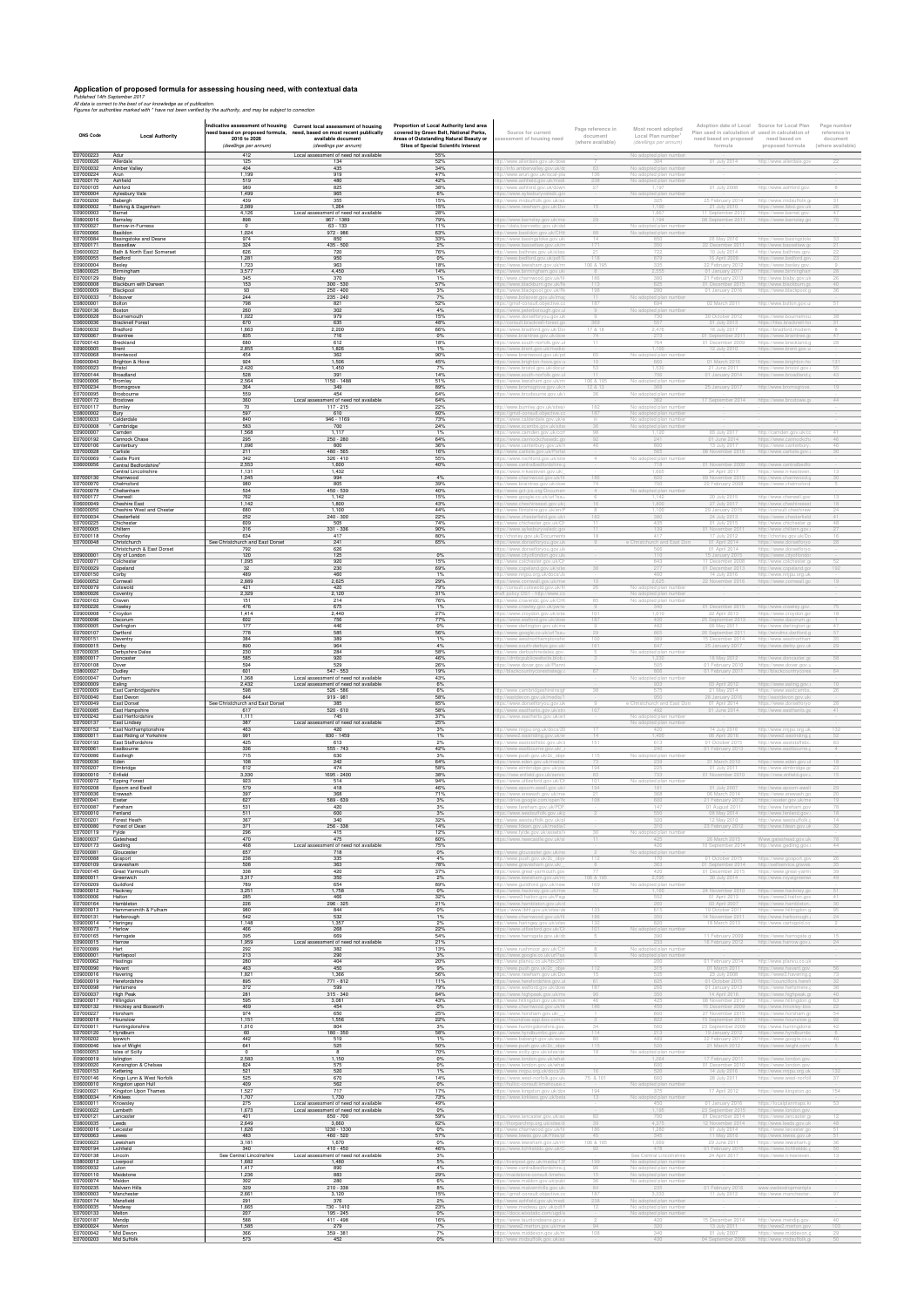## **Application of proposed formula for assessing housing need, with contextual data**<br>Published 14th September 2017<br>All data is correct to the best of our knowledge as of publication.<br>Figures for authorities marked with \* hav

| ONS Code               | <b>Local Authority</b>                                   | 2016 to 2026<br>(dwellings per annum)   | Indicative assessment of housing Current local assessment of housing<br>need based on proposed formula, need, based on most recent publically<br>available document<br>(dwellings per annum) | Proportion of Local Authority land area<br>covered by Green Belt, National Parks,<br>Areas of Outstanding Natural Beauty or<br><b>Sites of Special Scientifc Interest</b> | Source for current<br>sessment of housing need                 | Page reference in<br>document<br>(where available) | Most recent adopted<br>Local Plan number<br>(dwellings per annum) | Adoption date of Local<br>need based on proposed<br>formula | Source for Local Plan<br>Plan used in calculation of used in calculation of<br>need based on<br>proposed formula | Page number<br>reference in<br>document<br>(where available) |
|------------------------|----------------------------------------------------------|-----------------------------------------|----------------------------------------------------------------------------------------------------------------------------------------------------------------------------------------------|---------------------------------------------------------------------------------------------------------------------------------------------------------------------------|----------------------------------------------------------------|----------------------------------------------------|-------------------------------------------------------------------|-------------------------------------------------------------|------------------------------------------------------------------------------------------------------------------|--------------------------------------------------------------|
| E07000223<br>E07000026 | Adur<br>Allerdale                                        | 412<br>125                              | Local assessment of need not available<br>134                                                                                                                                                | 55%<br>52%                                                                                                                                                                | ://www.allerdale.gov.uk/dowi                                   |                                                    | No adopted plan nun<br>304                                        | 01 July 2014                                                | http://www.allerdale.gov                                                                                         | 22                                                           |
| E07000032              | Amber Valley<br>Arun                                     | 404                                     | 435                                                                                                                                                                                          | 34%<br>47%                                                                                                                                                                | ://info.ambervalley.gov.uk/do                                  | 136                                                | No adopted plan number                                            |                                                             |                                                                                                                  |                                                              |
| E07000224<br>E07000170 | Ashfield                                                 | 1,199<br>519                            | 919<br>480                                                                                                                                                                                   | 42%                                                                                                                                                                       | ://www.arun.gov.uk/local-pla<br>://www.ashfield.gov.uk/medi    | 238                                                | No adopted plan number<br>No adopted plan number                  |                                                             |                                                                                                                  |                                                              |
| E07000105<br>E07000004 | Ashford<br>Aylesbury Vale                                | 989<br>1,499                            | 825<br>965                                                                                                                                                                                   | 38%<br>6%                                                                                                                                                                 | ://www.ashford.gov.uk/down<br>os://www.aylesburyvaledc.go      |                                                    | No adopted plan number                                            | 01 July 2008                                                | http://www.ashford.gov                                                                                           |                                                              |
| E07000200<br>E09000002 | Babergh<br>Barking & Dagenham                            | 439<br>2,089                            | 355<br>1,264                                                                                                                                                                                 | 15%<br>15%                                                                                                                                                                | ://www.midsuffolk.gov.uk/as<br>os://www.newham.gov.uk/Dor      |                                                    | 325<br>1,190                                                      | 25 February 2014<br>21 July 201                             | http://www.midsuffolk.g                                                                                          |                                                              |
| E09000003              | Barnet                                                   | 4,126                                   | Local assessment of need not available                                                                                                                                                       | 28%                                                                                                                                                                       |                                                                |                                                    | 1.867                                                             | 11 September 201                                            | https://www.lbbd.gov.uk<br>https://www.barnet.gov                                                                |                                                              |
| E08000016<br>E07000027 | Barnsley<br>Barrow-in-Furness                            | 898                                     | 967 - 1389<br>$63 - 133$                                                                                                                                                                     | 79%<br>11%                                                                                                                                                                | )s://www.barnsley.gov.uk/me<br>://data.barrowbc.gov.uk/da      |                                                    | 1,194<br>No adopted plan num                                      | 08 September 2011                                           | https://www.barnsley.go                                                                                          |                                                              |
| E07000066              | Basildon                                                 | 1,024                                   | 972 - 986                                                                                                                                                                                    | 63%                                                                                                                                                                       | ://www.basildon.gov.uk/CHtt                                    | 88                                                 | No adopted plan number                                            |                                                             |                                                                                                                  |                                                              |
| E07000084<br>E07000171 | Basingstoke and Deane<br>Bassetlaw                       | 974<br>324                              | 850<br>435 - 500                                                                                                                                                                             | 33%<br>2%                                                                                                                                                                 | s://www.basingstoke.gov.uk<br>s://www.bassetlaw.gov.uk/m       | 14<br>171                                          | 850<br>350                                                        | 26 May 2016<br>2 December 2                                 | https://www.basingstoke<br>http://www.bassetlaw.go                                                               |                                                              |
| E06000022<br>E06000055 | Bath & North East Somerset<br>Bedford                    | 626<br>1.281                            | 720<br>950                                                                                                                                                                                   | 76%<br>$0\%$                                                                                                                                                              | ://www.bathnes.gov.uk/sites<br>://www.bedford.gov.uk/pdf/      | 118                                                | 722<br>879                                                        | 10 July 2014<br>16 April 2008                               | http://www.bathnes.go<br>https://www.bedford.gov                                                                 |                                                              |
| E09000004              | Bexlev                                                   | 1,723                                   | 963                                                                                                                                                                                          | 18%                                                                                                                                                                       | ps://www.lewisham.gov.uk/m                                     | 106 & 195                                          | 335                                                               | 22 February 201                                             | https://www.bexlev.gov                                                                                           |                                                              |
| E08000025<br>E07000129 | Birmingham<br>Blabv                                      | 3,577<br>345                            | 4.450<br>370                                                                                                                                                                                 | 14%<br>1%                                                                                                                                                                 | s://www.birmingham.gov.uk<br>://www.charnwood.gov.uk/fi        | $\mathcal{R}$<br>186                               | 2.555<br>380                                                      | 01 January 201<br>21 February 2013                          | https://www.birmingham<br>http://www.blaby.gov.uk                                                                |                                                              |
| E06000008<br>E06000009 | Blackburn with Darwen                                    | 153<br>93                               | $300 - 530$<br>$250 - 400$                                                                                                                                                                   | 57%<br>3%                                                                                                                                                                 | os://www.blackburn.gov.uk/N                                    | 113<br>198                                         | 625<br>280                                                        | 01 December 2015                                            | http://www.blackburn.gc                                                                                          |                                                              |
| E07000033              | Blackpool<br>Bolsover                                    | 244                                     | $235 - 240$                                                                                                                                                                                  | 7%                                                                                                                                                                        | xs://www.blackpool.gov.uk/Re<br>://www.bolsover.gov.uk/imaç    | $11 -$                                             | No adopted plan number                                            | 01 January 2016                                             | https://www.blackpool.g                                                                                          |                                                              |
| E08000001<br>E07000136 | Bolton<br>Boston                                         | 798<br>260                              | 821<br>302                                                                                                                                                                                   | 52%<br>4%                                                                                                                                                                 | s://gmsf-consult.objective.c<br>ps://www.peterborough.gov.u    | 187                                                | 694<br>No adopted plan number                                     | 02 March 201                                                | http://www.bolton.gov.ul                                                                                         |                                                              |
| E06000028<br>E06000036 | Bournemouth<br><b>Bracknell Forest</b>                   | 1,022<br>670                            | 979<br>635                                                                                                                                                                                   | 15%<br>48%                                                                                                                                                                | s://www.dorsetforyou.gov.uk                                    | 369                                                | 730<br>557                                                        | 30 October 2012                                             | https://www.bournemo                                                                                             |                                                              |
| E08000032              | Bradford                                                 | 1.663                                   | 2,200                                                                                                                                                                                        | 66%                                                                                                                                                                       | //consult.bracknell-forest.gr<br>s://www.bradford.gov.uk/Doo   | 17 & 18                                            | 2.476                                                             | 01 July 2013<br>18 July 2017                                | https://files.bracknell-for<br>https://bradford.modern                                                           |                                                              |
| E07000067<br>F07000143 | <b>Braintree</b><br><b>Breckland</b>                     | 835<br>680                              | 716<br>612                                                                                                                                                                                   | $0\%$<br>18%                                                                                                                                                              | ://www.braintree.gov.uk/dow<br>s://www.south-norfolk.gov.ul    | 74<br>11                                           | 273<br>764                                                        | 01 September 2011<br>01 December 2009                       | https://www.braintree.go<br>https://www.breckland.g                                                              | 47<br>28                                                     |
| E09000005              | <b>Brent</b>                                             | 2.855                                   | 1.826                                                                                                                                                                                        | $1\%$                                                                                                                                                                     | )s://www.brent.gov.uk/media                                    |                                                    | 1.100                                                             | 12 July 2010                                                | https://www.brent.gov.ul                                                                                         |                                                              |
| F07000068<br>F06000043 | Brentwood<br>Brighton & Hove                             | 454<br>924                              | 362<br>1.506                                                                                                                                                                                 | 90%<br>45%                                                                                                                                                                | ://www.brentwood.gov.uk/pd<br>)s://www.brighton-hove.gov.u     | 65.<br>10                                          | No adopted plan number<br>660                                     | 01 March 2016                                               | https://www.brighton-ho                                                                                          | 131                                                          |
| E06000023<br>E07000144 | Bristol<br>Broadland                                     | 2,420<br>528                            | 1,450<br>391                                                                                                                                                                                 | 7%<br>14%                                                                                                                                                                 | s://www.bristol.gov.uk/docu                                    |                                                    |                                                                   | 21 June 2011                                                | https://www.bristol.gov.u<br>https://www.broadland.                                                              | 43                                                           |
| E09000006              | Bromley                                                  | 2,564                                   | 1150 - 1488                                                                                                                                                                                  | 51%                                                                                                                                                                       | os://www.south-norfolk.gov.ul<br>s://www.lewisham.gov.uk/m     | 106 & 195                                          | No adopted plan number                                            | 11 January 2014                                             |                                                                                                                  |                                                              |
| E07000234<br>E07000095 | Bromsgrove<br>Broxbourne                                 | 364<br>559                              | 349<br>454                                                                                                                                                                                   | 89%<br>64%                                                                                                                                                                | ://www.bromsgrove.gov.uk/r<br>s://www.broxbourne.gov.uk/       | 12 & 13                                            | No adopted plan numbe                                             | 25 January 2017                                             | http://www.bromsgrove                                                                                            |                                                              |
| E07000172              | Broxtowe                                                 | 360                                     | Local assessment of need not available                                                                                                                                                       | 64%                                                                                                                                                                       |                                                                |                                                    | 362                                                               | 7 September 2014                                            | https://www.broxtowe.g                                                                                           | 44                                                           |
| E07000117<br>E08000002 | Burnley<br>Bury                                          | 70<br>597                               | 117 - 215<br>610                                                                                                                                                                             | 22%<br>60%                                                                                                                                                                | //www.burnley.gov.uk/sites<br>s://gmsf-consult.objective.co    | 187                                                | No adopted plan number<br>No adopted plan number                  |                                                             |                                                                                                                  |                                                              |
| E08000033<br>E07000008 | Calderdal<br><sup>'</sup> Cambridge                      | 840<br>583                              | $946 - 1165$<br>700                                                                                                                                                                          | 73%<br>24%                                                                                                                                                                | s://www.calderdale.gov.uk/e<br>os://www.scambs.gov.uk/site:    | 36                                                 | No adopted plan number<br>No adopted plan number                  |                                                             |                                                                                                                  |                                                              |
| E09000007              | Camden                                                   | 1.568                                   | 1.117                                                                                                                                                                                        | $1\%$                                                                                                                                                                     | s://www.camden.gov.uk/ccm                                      |                                                    |                                                                   | 03 July 201                                                 | http://camden.gov.uk/co                                                                                          |                                                              |
| E07000192<br>E07000106 | <b>Cannock Chase</b><br>Canterbury                       | 295<br>1,096                            | 250 - 280<br>800                                                                                                                                                                             | 64%<br>36%                                                                                                                                                                | os://www.cannockchasedc.gr<br>)s://www.canterburv.gov.uk/n     | 46                                                 | 241<br>800                                                        | 01 June 2014<br>13 July 201                                 | https://www.cannockcha<br>https://www.canterbury                                                                 | 46                                                           |
| E07000028<br>E07000069 | Carlisle<br><b>Castle Point</b>                          | 211<br>342                              | 480 - 565<br>$326 - 410$                                                                                                                                                                     | 16%<br>55%                                                                                                                                                                | ://www.carlisle.gov.uk/Portal                                  |                                                    | 565<br>No adopted plan numbe                                      | 08 November 2016                                            | http://www.carlisle.gov.                                                                                         |                                                              |
| E06000056              | Central Bedfordshire <sup>2</sup>                        | 2,553                                   | 1,600                                                                                                                                                                                        | 40%                                                                                                                                                                       | os://www.rochford.gov.uk/site<br>://www.centralbedfordshire.   |                                                    | 718                                                               | 01 November 2009                                            | http://www.centralbedfor                                                                                         |                                                              |
| E07000130              | Central Lincolnshire<br>Charnwood                        | 1,131<br>1,045                          | 1,432<br>994                                                                                                                                                                                 | 4%                                                                                                                                                                        | os://www.n-kesteven.gov.uk/<br>p://www.charnwood.gov.uk/fil-   | 186                                                | 1,665<br>820                                                      | 24 April 2017<br>09 November 2015                           | https://www.n-kesteven<br>http://www.charnwood.g                                                                 |                                                              |
| E07000070              | Chelmsford                                               | 980                                     | 805                                                                                                                                                                                          | 39%                                                                                                                                                                       | ://www.braintree.gov.uk/dow                                    | 74.                                                | 700                                                               | 20 February 2008                                            | https://www.chelmsford.                                                                                          |                                                              |
| E07000078<br>E07000177 | Cheltenham<br>Cherwell                                   | 534<br>762                              | $450 - 539$<br>1.142                                                                                                                                                                         | 40%<br>15%                                                                                                                                                                | )://www.gct-jcs.org/Documen<br>://www.google.co.uk/url?sa=     | $\overline{4}$<br>-6                               | No adopted plan numbe<br>1.142                                    | 20 July 2015                                                | http://www.cherwell.gov                                                                                          | 13                                                           |
| E06000049<br>E06000050 | <b>Cheshire East</b><br>Cheshire West and Chester        | 1.142<br>680                            | 1.800<br>1.100                                                                                                                                                                               | 43%<br>44%                                                                                                                                                                | ://www.cheshireeast.gov.uk/<br>://www.flintshire.gov.uk/en/l   | 16                                                 | 1,800<br>1.100                                                    | 27 July 201                                                 | http://www.cheshireeast                                                                                          | 24                                                           |
| E07000034              | Chesterfield                                             | 252                                     | 240 - 300                                                                                                                                                                                    | 22%                                                                                                                                                                       | s://www.chesterfield.gov.uk/i                                  | 182                                                | 380                                                               | 29 January 201<br>24 July 2013                              | http://consult.cheshirew<br>https://www.chesterfield                                                             | 41                                                           |
| E07000225<br>E07000005 | Chichester<br>Chiltern                                   | 609<br>316                              | 505<br>331 - 336                                                                                                                                                                             | 74%<br>90%                                                                                                                                                                | ://www.chichester.gov.uk/Cl<br>s://www.aylesburyvaledc.go      |                                                    | 435<br>139                                                        | 01 July 2015<br>1 November 2                                | http://www.chichester.ao<br>http://www.chiltern.gov.                                                             | 48                                                           |
| E07000118              | Chorley                                                  | 634                                     | 417                                                                                                                                                                                          | 80%                                                                                                                                                                       | //chorley.gov.uk/Document                                      |                                                    |                                                                   | 17 July 201                                                 | http://chorley.gov.uk/Do                                                                                         |                                                              |
| E07000048              | Christchurch<br>Christchurch & East Dorset               | See Christchurch and East Dorset<br>792 | 241<br>626                                                                                                                                                                                   | 65%                                                                                                                                                                       | s://www.dorsetforyou.gov.uk<br>://www.dorsetforyou.gov.uk      |                                                    | e Christchurch and East D                                         | 01 April 2014<br>01 April 2014                              | https://www.dorsetforyo<br>https://www.dorsetforyo                                                               |                                                              |
| E09000001<br>E07000071 | City of London                                           | 120                                     | 125<br>920                                                                                                                                                                                   | $0\%$<br>15%                                                                                                                                                              | s://www.cityoflondon.gov.uk                                    |                                                    | 110<br>843                                                        | 5 January 201<br>1 December 200                             | https://www.cityoflondor<br>http://www.colchester.                                                               |                                                              |
| E07000029              | Colchester<br>Copeland                                   | 1,095<br>32                             | 230                                                                                                                                                                                          | 69%                                                                                                                                                                       | //www.colchester.gov.uk/Cl<br>//www.copeland.gov.uk/site       |                                                    | 277                                                               | 1 December 20                                               | http://www.copeland.go                                                                                           |                                                              |
| E07000150<br>E06000052 | Corby<br>Cornwall                                        | 489<br>2,889                            | 460<br>2,625                                                                                                                                                                                 | 1%<br>29%                                                                                                                                                                 | ://www.nnjpu.org.uk/docs/Jc<br>s://www.cornwall.gov.uk/me      |                                                    | 460<br>2,625                                                      | 14 July 2016<br>22 November 2016                            | http://www.nnjpu.org.uk<br>https://www.cornwall.go                                                               |                                                              |
| E07000079<br>E08000026 | Cotswold                                                 | 421                                     | 420                                                                                                                                                                                          | 79%                                                                                                                                                                       | ://consult.cotswold.aov.uk/fi                                  |                                                    | No adopted plan number                                            |                                                             |                                                                                                                  |                                                              |
| E07000163              | Coventry<br>Craven                                       | 2,329<br>151                            | 2,120<br>214                                                                                                                                                                                 | 31%<br>76%                                                                                                                                                                | t policy DS1 - http://www.co<br>://www.cravendc.gov.uk/CHI     | 85                                                 | No adopted plan number<br>No adopted plan number                  |                                                             |                                                                                                                  |                                                              |
| E07000226<br>E09000008 | Crawley<br>Crovdon                                       | 476<br>1,414                            | 675<br>2,440                                                                                                                                                                                 | $1\%$<br>27%                                                                                                                                                              | ://www.crawley.gov.uk/pw/w<br>s://www.crovdon.aov.uk/site      |                                                    | 340<br>1.010                                                      | 22 April 2013                                               | 01 December 2015 http://www.crawley.gov.<br>https://www.croydon.gov                                              | 18                                                           |
| E07000096              | Dacorum                                                  | 602                                     | 756                                                                                                                                                                                          | 77%                                                                                                                                                                       | s://www.watford.gov.uk/dow                                     |                                                    |                                                                   |                                                             | https://www.dacorum.o                                                                                            |                                                              |
| E06000005<br>E07000107 | Darlington<br>Dartford                                   | 177<br>778                              | 446<br>585                                                                                                                                                                                   | $0\%$<br>56%                                                                                                                                                              | ://www.darlington.gov.uk/me<br>:p://www.google.co.uk/url?sa=   |                                                    | 482<br>865                                                        | 06 May 2011<br>26 September 2011                            | http://www.darlington.g<br>http://windmz.dartford.g                                                              | 47                                                           |
| E07000151<br>E06000015 | Daventry                                                 | 384<br>890                              | 389<br>964                                                                                                                                                                                   | 1%<br>4%                                                                                                                                                                  | p://www.westnorthamptonshii                                    | 100<br>161                                         | 389<br>647                                                        | 15 December 2014                                            | http://www.westnortham                                                                                           | 35                                                           |
| E07000035              | Derby<br>Derbyshire Dales                                | 230                                     | 284                                                                                                                                                                                          | 58%                                                                                                                                                                       | p://www.south-derbys.gov.uk/<br>://www.derbyshiredales.gov     |                                                    | No adopted plan number                                            |                                                             | 25 January 2017 http://www.derby.gov.uk                                                                          | 29                                                           |
| E08000017<br>E07000108 | Doncaster<br>Dover                                       | 585<br>594                              | 920<br>529                                                                                                                                                                                   | 46%<br>26%                                                                                                                                                                | os://dmbcpublicwebsite.blob.<br>ps://www.dover.gov.uk/Planni   |                                                    | 1,230<br>505                                                      | 18 May 2012<br>01 February 2010                             | http://www.doncaster.gc<br>https://www.dover.gov.u                                                               | 58                                                           |
| E08000027              | Dudley                                                   | 601                                     | $547 - 553$                                                                                                                                                                                  | 19%                                                                                                                                                                       | p://blackcountrycorestrategy.c                                 |                                                    | 806                                                               | 01 February 2011                                            | http://blackcountrycores                                                                                         | 64                                                           |
| E06000047<br>E09000009 | Durham<br>Ealing                                         | 1,368<br>2,432                          | Local assessment of need not available<br>Local assessment of need not available                                                                                                             | 43%<br>6%                                                                                                                                                                 |                                                                |                                                    | No adopted plan number<br>933                                     | 03 April 2012                                               | https://www.ealing.gov.u                                                                                         |                                                              |
| E07000009              | <b>Fast Cambridgeshire</b>                               | 598                                     | $526 - 586$                                                                                                                                                                                  | 6%                                                                                                                                                                        | ://www.cambridgeshireinsi                                      |                                                    |                                                                   | 21 May 2014                                                 | https://www.eastcambs                                                                                            |                                                              |
| E07000040<br>E07000049 | East Devon<br>East Dorset                                | 844<br>See Christchurch and East Dorset | $919 - 981$<br>-385                                                                                                                                                                          | 58%<br>85%                                                                                                                                                                | p://eastdevon.gov.uk/media/1<br>s://www.dorsetforyou.gov.uk    |                                                    | 950<br>e Christchurch and East Do                                 | 28 January 2016<br>01 April 2014                            | http://eastdevon.gov.uk/<br>https://www.dorsetforyc                                                              |                                                              |
| E07000085<br>E07000242 | East Hampshire<br>East Hertfordshire                     | 617<br>1,111                            | $520 - 610$<br>745                                                                                                                                                                           | 58%<br>37%                                                                                                                                                                | ://www.easthants.gov.uk/stra<br>s://www.eastherts.gov.uk/art   |                                                    | No adopted plan number                                            | 01 June 2014                                                | http://www.easthants.go                                                                                          |                                                              |
| E07000137              | East Lindsey                                             | 387                                     | Local assessment of need not available                                                                                                                                                       | 25%                                                                                                                                                                       |                                                                |                                                    | No adopted plan numbe                                             |                                                             |                                                                                                                  |                                                              |
| E07000152<br>E06000011 | <b>East Northamptonshire</b><br>East Riding of Yorkshire | 463<br>991                              | 420<br>830 - 1459                                                                                                                                                                            | 3%<br>$1\%$                                                                                                                                                               | ://www.nnjpu.org.uk/docs/2<br>://www2.eastriding.gov.uk/er     | 14                                                 | 420<br>1,400                                                      | 14 July 2016<br>06 April 2016                               | http://www.nnjpu.org.uk<br>http://www2.eastriding.g                                                              |                                                              |
| E07000193              | East Staffordshire                                       | 425                                     | 613                                                                                                                                                                                          | 2%                                                                                                                                                                        | ://www.eaststaffsbc.gov.uk/s                                   | 151                                                | 613                                                               | 01 October 2015                                             | http://www.eaststaffsbc.                                                                                         | 83                                                           |
| E07000061<br>E07000086 | Eastbourne<br>Eastleigh                                  | 336<br>715                              | $555 - 743$<br>630                                                                                                                                                                           | 42%<br>3%                                                                                                                                                                 | ://www.eastbourne.gov.uk/<br>://www.push.gov.uk/2c obje        | 115                                                | 240<br>No adopted plan number                                     | 01 February 2013                                            | http://www.eastbourne.c                                                                                          | $\overline{4}$                                               |
| E07000030              | Fden                                                     | 108                                     | 242                                                                                                                                                                                          | 64%                                                                                                                                                                       | ps://www.eden.gov.uk/media/                                    | 73                                                 | 239                                                               | 31 March 2010                                               | https://www.eden.gov.ul                                                                                          |                                                              |
| E07000207<br>E09000010 | Elmbridge<br>* Enfield                                   | 612<br>3,330                            | 474<br>1695 - 2400                                                                                                                                                                           | 58%<br>38%                                                                                                                                                                | o://www.elmbridge.gov.uk/pla<br>ps://new.enfield.gov.uk/servic | 194<br>83                                          | 225<br>733                                                        | 01 July 2011<br>01 November 2010                            | http://www.elmbridge.go<br>https://new.enfield.gov.u                                                             | 23                                                           |
| E07000072<br>E07000208 | * Epping Forest<br>Epsom and Ewell                       | 923<br>579                              | 514<br>418                                                                                                                                                                                   | 94%<br>46%                                                                                                                                                                | :ps://www.uttlesford.gov.uk/C<br>p://www.epsom-ewell.gov.uk/   | 101<br>194                                         | No adopted plan number<br>181                                     | 01 July 2007                                                | http://www.epsom-ewell                                                                                           | 29                                                           |
| E07000036              | Erewash                                                  | 397                                     | 368                                                                                                                                                                                          | 71%                                                                                                                                                                       | os://www.erewash.gov.uk/me                                     |                                                    | 368                                                               | 06 March 2014                                               | https://www.erewash.go                                                                                           |                                                              |
| E07000041<br>E07000087 | Exeter<br>Fareham                                        | 627<br>531                              | 589 - 639<br>420                                                                                                                                                                             | 3%<br>3%                                                                                                                                                                  | :ps://drive.google.com/open?i<br>p://www.fareham.gov.uk/PDF    | 108                                                | 600<br>147                                                        | 21 February 2012<br>01 August 2011                          | https://exeter.gov.uk/me<br>http://www.fareham.gov                                                               |                                                              |
| E07000010              | Fenland                                                  | 511                                     | 600                                                                                                                                                                                          | 3%                                                                                                                                                                        | :ps://www.westsuffolk.gov.uk/p                                 |                                                    | 550                                                               | 08 May 2014                                                 | http://www.fenland.gov.r                                                                                         |                                                              |
| E07000201<br>E07000080 | Forest Heath<br>Forest of Dear                           | 367<br>371                              | 340<br>$256 - 338$                                                                                                                                                                           | 32%<br>14%                                                                                                                                                                | ://www.westsuffolk.gov.uk/pl<br>://www.fdean.gov.uk/media/     |                                                    | 320<br>310                                                        | 12 May 2010<br>23 February 2012                             | http://www.westsuffolk.g<br>http://www.fdean.gov.uk                                                              | 14                                                           |
| E07000119              | Fylde                                                    | 296                                     | 415                                                                                                                                                                                          | 12%                                                                                                                                                                       | ://www.fylde.gov.uk/assets/le                                  |                                                    | No adopted plan number                                            |                                                             |                                                                                                                  |                                                              |
| E08000037<br>E07000173 | Gateshead<br>Gedling                                     | 470<br>468                              | 475<br>Local assessment of need not available                                                                                                                                                | 60%<br>75%                                                                                                                                                                | ps://www.newcastle.gov.uk/si                                   | $11 -$                                             | 425<br>426                                                        | 26 March 2015<br>10 September 2014                          | Www.gateshead.gov.uk<br>http://www.gedling.gov.u                                                                 | 44                                                           |
| E07000081<br>E07000088 | Gloucester<br>Gosport                                    | 657<br>238                              | 718<br>335                                                                                                                                                                                   | $0\%$<br>4%                                                                                                                                                               | p://www.gloucester.gov.uk/res                                  | 112                                                | No adopted plan numbe<br>170                                      | 01 October 2015                                             |                                                                                                                  |                                                              |
| E07000109              | Gravesham                                                | 508                                     | 363                                                                                                                                                                                          | 78%                                                                                                                                                                       | )://www.push.gov.uk/2c_obje<br>p://www.gravesham.gov.uk/_      |                                                    | 363                                                               | 01 September 2014                                           | https://www.gosport.gov<br>http://selfservice.graves                                                             |                                                              |
| E07000145<br>E09000011 | Great Yarmouth<br>Greenwich                              | 338<br>3,317                            | 420<br>350                                                                                                                                                                                   | 37%<br>2%                                                                                                                                                                 | s://www.great-yarmouth.go<br>ps://www.lewisham.gov.uk/my       | 106 & 195                                          | 2,595                                                             | 11 December 2015<br>30 July 2014                            | https://www.great-yarmo<br>http://www.royalgreenwi                                                               | 49                                                           |
| E07000209              | Guildford                                                | 789                                     | 654                                                                                                                                                                                          | 89%                                                                                                                                                                       | ://www.guildford.gov.uk/new                                    | 169                                                | No adopted plan numbe<br>1160                                     |                                                             |                                                                                                                  |                                                              |
| E09000012<br>E06000006 | Hackney<br>Halton                                        | 3,251<br>285                            | 1,758<br>466                                                                                                                                                                                 | $0\%$<br>32%                                                                                                                                                              | s://www.hackney.gov.uk/me<br>ps://www3.halton.gov.uk/Pag       |                                                    | 552                                                               | 24 November 2010<br>01 April 2013                           | https://www.hackney.go<br>https://www3.halton.gov                                                                | 51<br>41                                                     |
| E07000164<br>E09000013 | Hambleton<br>Hammersmith & Fulham                        | 226<br>980                              | 296 - 325<br>844                                                                                                                                                                             | 21%<br>$0\%$                                                                                                                                                              | ps://www.hambleton.gov.uk/d<br>tps://www.lbhf.gov.uk/sites/de  | 133                                                | 260<br>615                                                        | 03 April 2007<br>19 October 2011                            | https://www.hambleton.<br>https://www.hillingdon.g                                                               | 95                                                           |
| E07000131              | Harborough                                               | 542                                     | 532                                                                                                                                                                                          | $1\%$                                                                                                                                                                     | ://www.charnwood.gov.uk/fil                                    | 186                                                | 350                                                               | 14 November 2011                                            | http://www.harborough.g                                                                                          | 24                                                           |
| E09000014<br>E07000073 | Haringey<br>Harlow                                       | 1.148<br>466                            | 1.357<br>268                                                                                                                                                                                 | 2%<br>22%                                                                                                                                                                 | ://www.haringey.gov.uk/sites<br>ps://www.uttlesford.gov.uk/Cl  | 132<br>101                                         | 820<br>No adopted plan number                                     | 18 March 2013                                               | http://www.cartogold.co.                                                                                         |                                                              |
| E07000165              | Harrogate                                                | 395                                     | 669                                                                                                                                                                                          | 54%                                                                                                                                                                       | ps://www.harrogate.gov.uk/do                                   |                                                    | 390                                                               | 11 February 2009                                            | https://www.harrogate.g                                                                                          |                                                              |
| E09000015<br>E07000089 | Harrow<br>Hart                                           | 1,959<br>292                            | Local assessment of need not available<br>382                                                                                                                                                | 21%<br>13%                                                                                                                                                                | ://www.rushmoor.gov.uk/CH                                      |                                                    | 233<br>No adopted plan number                                     |                                                             | 16 February 2012 http://www.harrow.gov.u                                                                         | 24                                                           |
| E06000001<br>E07000062 | Hartlepool<br>Hastings                                   | 213<br>280                              | 290<br>404                                                                                                                                                                                   | 3%<br>20%                                                                                                                                                                 | ps://www.google.co.uk/url?sa<br>://www.planvu.co.uk/hbc201     |                                                    | No adopted plan number<br>200                                     |                                                             | 01 February 2014 http://www.planvu.co.uk                                                                         |                                                              |
| E07000090              | Havant                                                   | 463                                     | 450                                                                                                                                                                                          | 9%                                                                                                                                                                        | /www.push.gov.uk/2c obje                                       |                                                    |                                                                   | 01 March 2011                                               | https://www.havant.gov                                                                                           |                                                              |

| E07000098 | Hertsmere                 | 372                     | 599                                    | 79%   | ittps://www.watford.gov.uk/dow    |                                   | 266                      | 01 January 201             | https://www.hertsmere.                                                          |                                 |
|-----------|---------------------------|-------------------------|----------------------------------------|-------|-----------------------------------|-----------------------------------|--------------------------|----------------------------|---------------------------------------------------------------------------------|---------------------------------|
| E07000037 | <b>High Peak</b>          | 281                     | $315 - 340$                            | 84%   | ttps://www.highpeak.gov.uk/me     | $90 -$                            | 350                      | 14 April 2016              | https://www.highpeak.go                                                         | $40 -$                          |
| E0900001  | Hillingdon                | 595                     | 3,081                                  | 43%   | tp://www.hillingdon.gov.uk/me     | 46                                | 425                      | 08 November 2012           | https://www.hillingdon.g                                                        | 63                              |
| E07000132 | Hinckley and Bosworth     | 469                     | 454                                    | 0%    | tp://www.charnwood.gov.uk/fil-    | 186                               | 450                      | 15 December 2009           | http://www.hincklev-bos                                                         | $22 - 7$                        |
| E07000227 | Horsham                   | 974                     | 650                                    | 25%   | ttps://www.horsham.gov.uk/        |                                   | 800                      | 27 November 2015           | https://www.horsham.c                                                           | 54.                             |
| E09000018 | Hounslow                  | 1,151                   | 1,556                                  | 22%   | ttps://hounslow.app.box.com/s/    |                                   | 822                      | 15 September 2015          | https://www.hounslow.g                                                          | 92                              |
| E0700001  | Huntingdonshire           | 1,010                   | 804                                    | 3%    | tp://www.huntingdonshire.gov      | 34                                | 560                      | 23 September 2009          | http://www.huntingdonsl                                                         | 42                              |
| E07000120 | Hyndburn                  | 60                      | $180 - 350$                            | 58%   | ttps://www.hyndburnbc.gov.uk/     | 114                               | 213                      | 19 January 2012            | https://www.hvndburnbc                                                          | $6 \quad \cdots$                |
| E07000202 | Ipswich                   | 442                     | 519                                    | $1\%$ | ttp://www.babergh.gov.uk/asse     | 80                                | 489                      | 22 February 2017           | https://www.google.co.u                                                         | 40                              |
| E06000046 | Isle of Wight             | 641                     | 525                                    | 50%   | ttp://www.push.gov.uk/2c obje     | 115                               | 520                      | 21 March 2012              | https://www.iwight.com/                                                         |                                 |
| E06000053 | Isles of Scilly           |                         |                                        | 70%   | tp://www.scillv.aov.uk/sites/d    | 18                                | No adopted plan numbe    |                            |                                                                                 |                                 |
| E09000019 | Islington                 | 2.583                   | 1,150                                  | 0%    | ittps://www.london.gov.uk/what-   | the contract of                   | 1.264                    | 17 February 2011           | https://www.london.gov.                                                         | the company of the company      |
| E09000020 | Kensington & Chelsea      | 824                     | 575                                    | $0\%$ | ttps://www.london.gov.uk/what     | $\sim$                            | 600                      | 01 December 201            | https://www.london.gov.                                                         | $\sim$                          |
| E07000153 | Kettering                 | 521                     | 520                                    | $1\%$ | ttp://www.nnjpu.org.uk/docs/20    | 16                                | 520                      | 14 July 2016               | http://www.nnjpu.org.uk                                                         | 132                             |
| E07000146 | Kings Lynn & West Norfolk | 525                     | 670                                    | 14%   | ttps://www.west-norfolk.gov.uk    | 75 & 101                          | 660                      | 28 July 2011               | https://www.west-norfoll                                                        | 37                              |
| E06000010 | Kingston upon Hull        | 409                     | 562                                    | 0%    | ittp://hullcc-consult.limehouse.c | the company of                    | No adopted plan number   | the contract of the        | the control of the control of the con-                                          | the control of the control of   |
| E09000021 | Kingston Upon Thames      | 1,527                   | 717                                    | 17%   | ittps://www.kingston.gov.uk/dov   | 194                               | 375                      | 17 April 2012              | https://www.kingston.go                                                         | 154                             |
| E08000034 | Kirklees                  | 1,707                   | 1,730                                  | 73%   | ttps://www.kirklees.gov.uk/beta   | $13 -$                            | No adopted plan number   | the contract of the        |                                                                                 | the company of the company      |
| E0800001  | Knowsley                  | 275                     | Local assessment of need not available | 49%   |                                   |                                   | 450                      | 01 January 2016            | https://localplanmaps.kr                                                        | 53                              |
| E09000022 | Lambeth                   | 1.673                   | Local assessment of need not available | 0%    |                                   |                                   | 1.195                    | 23 September 201           | https://www.london.gov.                                                         | the state of the control        |
| E07000121 | Lancaster                 | 401                     | $650 - 700$                            | 59%   | ttps://www.lancaster.gov.uk/as    |                                   | 700                      | 01 December 2014           | https://www.lancaster.o                                                         | $12 -$                          |
| E08000035 | Leeds                     | 2,649                   | 3.660                                  | 62%   | tp://thorparchnp.org.uk/sites/d   | 39                                | 4.375                    | 12 November 2014           | http://www.leeds.gov.uk                                                         | 48 — 18                         |
| E06000016 | Leicester                 | 1.626                   | 1230 - 1330                            | $0\%$ | ttp://www.charnwood.gov.uk/fil    | 186                               | 1.280                    | 01 July 2014               | https://www.leicester.go                                                        | 51                              |
| E07000063 | Lewes                     | 483                     | $460 - 520$                            | 57%   | tp://www.lewes.gov.uk/Files/pl    | 45                                | 345                      | 11 May 2016                | http://www.lewes.gov.uk                                                         |                                 |
| E09000023 | Lewisham                  | 3.181                   | 1.670                                  | 0%    | ttps://www.lewisham.gov.uk/m      | 106 & 195                         | 1.069                    | 29 June 2011               | https://www.lewisham.o                                                          | 36                              |
| E07000194 | Lichfield                 | 340                     | $410 - 450$                            | 46%   | ittps://www.lichfielddc.gov.uk/C  | 92                                | 478                      | 01 February 2015           | https://www.lichfielddc.o                                                       |                                 |
| E07000138 | Lincoln                   | See Central Lincolnshir | Local assessment of need not available | 3%    |                                   | $\sim$                            | See Central Lincolnshire | 24 April 2011              | https://www.n-kesteven                                                          | $13 -$                          |
| E08000012 | Liverpool                 | 1.682                   | 1,480                                  | 5%    | ttp://liverpool.gov.uk/media/135  | 199                               | No adopted plan number   | and the control            |                                                                                 | the contract of the con-        |
| E06000032 | Luton                     | 1.417                   | 890                                    | 4%    | tp://www.centralbedfordshire.     | 90                                | No adopted plan number   | $\sim$                     |                                                                                 | $\sim$                          |
| E07000110 | Maidstone                 | 1,236                   | 883                                    | 29%   | tp://maidstone-consult.limehou    | $15 -$                            | No adopted plan number   | the company of the company |                                                                                 | the contract of the contract of |
| E07000074 | Maldon                    | 302                     | 280                                    | 6%    | ttps://www.maldon.gov.uk/pub      | 36                                | No adopted plan number   |                            |                                                                                 | $\sim$                          |
| E07000235 | Malvern Hills             | 329                     | $210 - 338$                            | 8%    | ittps://www.malvernhills.gov.uk   | 84                                | 235                      | 01 February 2016           | www.swdevelopmentpla                                                            | the company of the company      |
| E08000003 | Manchester                | 2,661                   | 3,120                                  | 15%   | ttps://amsf-consult.objective.co  | 187                               | 3.333                    | 11 July 2012               | http://www.manchester                                                           | 97.                             |
| E07000174 | Mansfield                 | 291                     | 376                                    | 2%    | ttp://www.ashfield.gov.uk/medi-   | 238                               | No adopted plan number   | the company of the company | the contract of the contract of the contract of the contract of the contract of | the control of the control of   |
| E06000035 | Medway                    | 1.665                   | 730 - 1410                             | 23%   | ttp://www.medway.gov.uk/pdf/l     | 12                                | No adopted plan number   | <b>Contract Contract</b>   |                                                                                 | the contract of the             |
| E07000133 | Melton                    | 207                     | $195 - 245$                            | 0%    | ittps://docs.wixstatic.com/ugd/a  | <b>Contract Contract Contract</b> | No adopted plan number   | the contract of the con-   |                                                                                 | the contract of the con-        |
| E07000187 | Mendip                    | 588                     | $411 - 498$                            | 16%   | tps://www.tauntondeane.gov.u      |                                   | 420                      | 15 December 2014           | http://www.mendip.gov.                                                          | 40                              |
| E09000024 | Merton                    | 1,585                   | 279                                    | 7%    | tps://www2.merton.gov.uk/mer      | 94                                | 320                      | 13 July 2011               | http://www2.merton.gov                                                          | 103                             |
| E07000042 | Mid Devon                 | 366                     | $359 - 381$                            | 7%    | ttps://www.middevon.aov.uk/m      | 108                               | 340                      | 01 July 200                | https://www.middevon.o                                                          | 29                              |
| E07000203 | <b>Mid Suffolk</b>        | 573                     | 452                                    | 0%    | ittp://www.midsuffolk.gov.uk/as   |                                   | 430                      | 04 September 2008          | http://www.midsuffolk.gr                                                        | 50                              |

E06000019 Herefordshire 771 - 812 11% https://www.herefordshire.gov.ul 61 825 01 October 2015 https://councillors.herefor 32 11%

E09000016 Havering 1,821 1,366 56% https://www.newham.gov.uk/Dov 15 535 23 July 2008 https://www.nevering.g 73